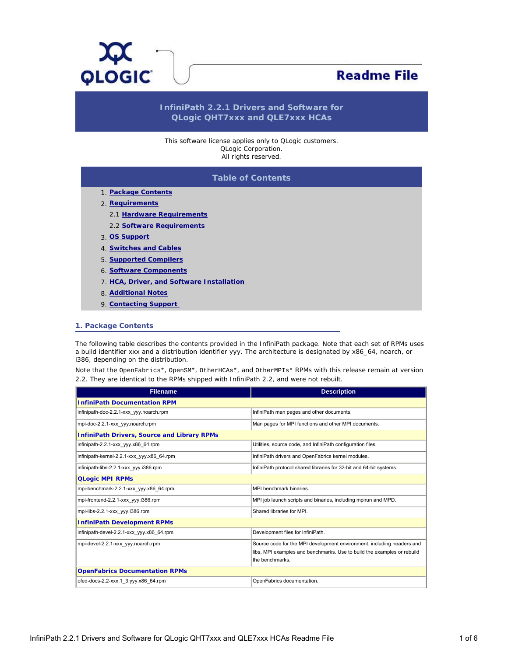<span id="page-0-1"></span>

# **Readme File**

# **InfiniPath 2.2.1 Drivers and Software for QLogic QHT7xxx and QLE7xxx HCAs**

This software license applies only to QLogic customers. QLogic Corporation. All rights reserved.

# **Table of Contents**

- 1. **[Package Contents](#page-0-0)**
- 2. **[Requirements](#page-3-0)**
	- 2.1 **[Hardware Requirements](#page-3-1)**
	- 2.2 **[Software Requirements](#page-3-2)**
- 3. **[OS Support](#page-3-3)**
- 4. **[Switches and Cables](#page-3-4)**
- 5. **[Supported Compilers](#page-4-0)**
- 6. **[Software Components](#page-4-1)**
- 7. **[HCA, Driver, and Software Installation](#page-4-2)**
- 8. **[Additional Notes](#page-4-3)**
- 9. **[Contacting Support](#page-5-0)**

#### <span id="page-0-0"></span>**1. Package Contents**

The following table describes the contents provided in the InfiniPath package. Note that each set of RPMs uses a build identifier xxx and a distribution identifier yyy. The architecture is designated by x86\_64, noarch, or i386, depending on the distribution.

Note that the OpenFabrics\*, OpenSM\*, OtherHCAs\*, and OtherMPIs\* RPMs with this release remain at version 2.2. They are identical to the RPMs shipped with InfiniPath 2.2, and were not rebuilt.

| <b>Filename</b>                                    | <b>Description</b>                                                                                                                                                   |  |
|----------------------------------------------------|----------------------------------------------------------------------------------------------------------------------------------------------------------------------|--|
| <b>InfiniPath Documentation RPM</b>                |                                                                                                                                                                      |  |
| infinipath-doc-2.2.1-xxx yyy.noarch.rpm            | InfiniPath man pages and other documents.                                                                                                                            |  |
| mpi-doc-2.2.1-xxx yyy.noarch.rpm                   | Man pages for MPI functions and other MPI documents.                                                                                                                 |  |
| <b>InfiniPath Drivers, Source and Library RPMs</b> |                                                                                                                                                                      |  |
| infinipath-2.2.1-xxx yyy.x86 64.rpm                | Utilities, source code, and InfiniPath configuration files.                                                                                                          |  |
| infinipath-kernel-2.2.1-xxx yyy.x86 64.rpm         | InfiniPath drivers and OpenFabrics kernel modules.                                                                                                                   |  |
| infinipath-libs-2.2.1-xxx yyy.i386.rpm             | InfiniPath protocol shared libraries for 32-bit and 64-bit systems.                                                                                                  |  |
| <b>QLogic MPI RPMs</b>                             |                                                                                                                                                                      |  |
| mpi-benchmark-2.2.1-xxx yyy.x86 64.rpm             | MPI benchmark binaries.                                                                                                                                              |  |
| mpi-frontend-2.2.1-xxx yyy.i386.rpm                | MPI job launch scripts and binaries, including mpirun and MPD.                                                                                                       |  |
| mpi-libs-2.2.1-xxx yyy.i386.rpm                    | Shared libraries for MPI.                                                                                                                                            |  |
| <b>InfiniPath Development RPMs</b>                 |                                                                                                                                                                      |  |
| infinipath-devel-2.2.1-xxx yyy.x86 64.rpm          | Development files for InfiniPath.                                                                                                                                    |  |
| mpi-devel-2.2.1-xxx yyy.noarch.rpm                 | Source code for the MPI development environment, including headers and<br>libs, MPI examples and benchmarks. Use to build the examples or rebuild<br>the benchmarks. |  |
| <b>OpenFabrics Documentation RPMs</b>              |                                                                                                                                                                      |  |
| ofed-docs-2.2-xxx.1 3.yyy.x86 64.rpm               | OpenFabrics documentation.                                                                                                                                           |  |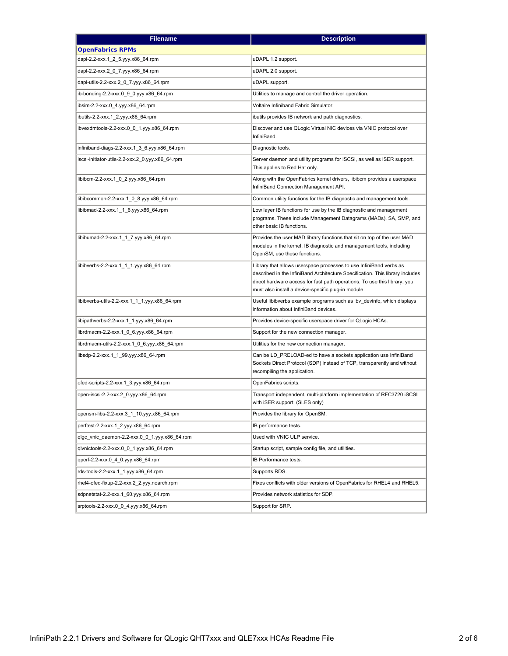| <b>Filename</b>                                  | <b>Description</b>                                                                                                                                                                                                                                                                      |  |
|--------------------------------------------------|-----------------------------------------------------------------------------------------------------------------------------------------------------------------------------------------------------------------------------------------------------------------------------------------|--|
| <b>OpenFabrics RPMs</b>                          |                                                                                                                                                                                                                                                                                         |  |
| dapl-2.2-xxx.1_2_5.yyy.x86_64.rpm                | uDAPL 1.2 support.                                                                                                                                                                                                                                                                      |  |
| dapl-2.2-xxx.2_0_7.yyy.x86_64.rpm                | uDAPL 2.0 support.                                                                                                                                                                                                                                                                      |  |
| dapl-utils-2.2-xxx.2_0_7.yyy.x86_64.rpm          | uDAPL support.                                                                                                                                                                                                                                                                          |  |
| ib-bonding-2.2-xxx.0 9 0.yyy.x86 64.rpm          | Utilities to manage and control the driver operation.                                                                                                                                                                                                                                   |  |
| ibsim-2.2-xxx.0_4.yyy.x86_64.rpm                 | Voltaire Infiniband Fabric Simulator.                                                                                                                                                                                                                                                   |  |
| ibutils-2.2-xxx.1_2.yyy.x86_64.rpm               | ibutils provides IB network and path diagnostics.                                                                                                                                                                                                                                       |  |
| ibvexdmtools-2.2-xxx.0 0 1.yyy.x86 64.rpm        | Discover and use QLogic Virtual NIC devices via VNIC protocol over<br>InfiniBand.                                                                                                                                                                                                       |  |
| infiniband-diags-2.2-xxx.1_3_6.yyy.x86_64.rpm    | Diagnostic tools.                                                                                                                                                                                                                                                                       |  |
| iscsi-initiator-utils-2.2-xxx.2_0.yyy.x86_64.rpm | Server daemon and utility programs for iSCSI, as well as iSER support.<br>This applies to Red Hat only.                                                                                                                                                                                 |  |
| libibcm-2.2-xxx.1_0_2.yyy.x86_64.rpm             | Along with the OpenFabrics kernel drivers, libibcm provides a userspace<br>InfiniBand Connection Management API.                                                                                                                                                                        |  |
| libibcommon-2.2-xxx.1_0_8.yyy.x86_64.rpm         | Common utility functions for the IB diagnostic and management tools.                                                                                                                                                                                                                    |  |
| libibmad-2.2-xxx.1_1_6.yyy.x86_64.rpm            | Low layer IB functions for use by the IB diagnostic and management<br>programs. These include Management Datagrams (MADs), SA, SMP, and<br>other basic IB functions.                                                                                                                    |  |
| libibumad-2.2-xxx.1_1_7.yyy.x86_64.rpm           | Provides the user MAD library functions that sit on top of the user MAD<br>modules in the kernel. IB diagnostic and management tools, including<br>OpenSM, use these functions.                                                                                                         |  |
| libibverbs-2.2-xxx.1_1_1.yyy.x86_64.rpm          | Library that allows userspace processes to use InfiniBand verbs as<br>described in the InfiniBand Architecture Specification. This library includes<br>direct hardware access for fast path operations. To use this library, you<br>must also install a device-specific plug-in module. |  |
| libibverbs-utils-2.2-xxx.1_1_1.yyy.x86_64.rpm    | Useful libibverbs example programs such as ibv_devinfo, which displays<br>information about InfiniBand devices.                                                                                                                                                                         |  |
| libipathverbs-2.2-xxx.1_1.yyy.x86_64.rpm         | Provides device-specific userspace driver for QLogic HCAs.                                                                                                                                                                                                                              |  |
| librdmacm-2.2-xxx.1_0_6.yyy.x86_64.rpm           | Support for the new connection manager.                                                                                                                                                                                                                                                 |  |
| librdmacm-utils-2.2-xxx.1_0_6.yyy.x86_64.rpm     | Utilities for the new connection manager.                                                                                                                                                                                                                                               |  |
| libsdp-2.2-xxx.1_1_99.yyy.x86_64.rpm             | Can be LD PRELOAD-ed to have a sockets application use InfiniBand<br>Sockets Direct Protocol (SDP) instead of TCP, transparently and without<br>recompiling the application.                                                                                                            |  |
| ofed-scripts-2.2-xxx.1_3.yyy.x86_64.rpm          | OpenFabrics scripts.                                                                                                                                                                                                                                                                    |  |
| open-iscsi-2.2-xxx.2_0.yyy.x86_64.rpm            | Transport independent, multi-platform implementation of RFC3720 iSCSI<br>with iSER support. (SLES only)                                                                                                                                                                                 |  |
| opensm-libs-2.2-xxx.3_1_10.yyy.x86_64.rpm        | Provides the library for OpenSM.                                                                                                                                                                                                                                                        |  |
| perftest-2.2-xxx.1 2.yyy.x86 64.rpm              | IB performance tests.                                                                                                                                                                                                                                                                   |  |
| qlgc vnic daemon-2.2-xxx.0 0 1.yyy.x86 64.rpm    | Used with VNIC ULP service.                                                                                                                                                                                                                                                             |  |
| qlvnictools-2.2-xxx.0_0_1.yyy.x86_64.rpm         | Startup script, sample config file, and utilities.                                                                                                                                                                                                                                      |  |
| qperf-2.2-xxx.0 4 0.yyy.x86 64.rpm               | IB Performance tests.                                                                                                                                                                                                                                                                   |  |
| rds-tools-2.2-xxx.1_1.yyy.x86_64.rpm             | Supports RDS.                                                                                                                                                                                                                                                                           |  |
| rhel4-ofed-fixup-2.2-xxx.2_2.yyy.noarch.rpm      | Fixes conflicts with older versions of OpenFabrics for RHEL4 and RHEL5.                                                                                                                                                                                                                 |  |
| sdpnetstat-2.2-xxx.1_60.yyy.x86_64.rpm           | Provides network statistics for SDP.                                                                                                                                                                                                                                                    |  |
| srptools-2.2-xxx.0 0 4.yyy.x86 64.rpm            | Support for SRP.                                                                                                                                                                                                                                                                        |  |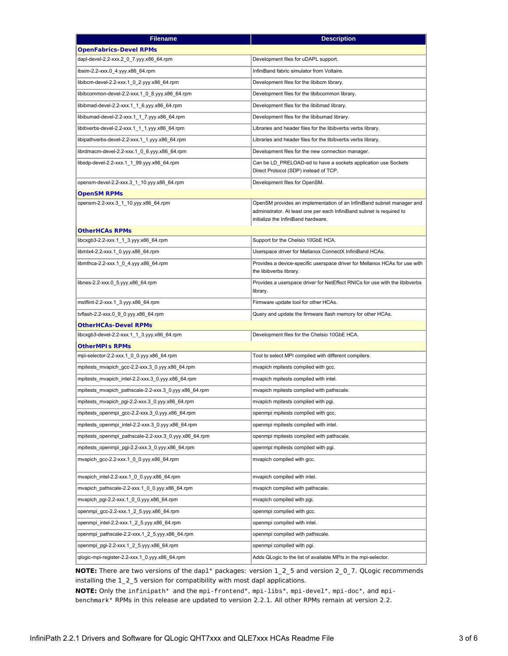| <b>Filename</b>                                       | <b>Description</b>                                                                                                                             |  |
|-------------------------------------------------------|------------------------------------------------------------------------------------------------------------------------------------------------|--|
| <b>OpenFabrics-Devel RPMs</b>                         |                                                                                                                                                |  |
| dapl-devel-2.2-xxx.2_0_7.yyy.x86_64.rpm               | Development files for uDAPL support.                                                                                                           |  |
| ibsim-2.2-xxx.0_4.yyy.x86_64.rpm                      | InfiniBand fabric simulator from Voltaire.                                                                                                     |  |
| libibcm-devel-2.2-xxx.1_0_2.yyy.x86_64.rpm            | Development files for the libibcm library.                                                                                                     |  |
| libibcommon-devel-2.2-xxx.1_0_8.yyy.x86_64.rpm        | Development files for the libibcommon library.                                                                                                 |  |
| libibmad-devel-2.2-xxx.1_1_6.yyy.x86_64.rpm           | Development files for the libibmad library.                                                                                                    |  |
| libibumad-devel-2.2-xxx.1_1_7.yyy.x86_64.rpm          | Development files for the libibumad library.                                                                                                   |  |
| libibverbs-devel-2.2-xxx.1 1 1.yyy.x86 64.rpm         | Libraries and header files for the libibverbs verbs library.                                                                                   |  |
| libipathverbs-devel-2.2-xxx.1_1.yyy.x86_64.rpm        | Libraries and header files for the libibverbs verbs library.                                                                                   |  |
| librdmacm-devel-2.2-xxx.1 0 6.yyy.x86 64.rpm          | Development files for the new connection manager.                                                                                              |  |
| libsdp-devel-2.2-xxx.1_1_99.yyy.x86_64.rpm            | Can be LD PRELOAD-ed to have a sockets application use Sockets                                                                                 |  |
|                                                       | Direct Protocol (SDP) instead of TCP.                                                                                                          |  |
| opensm-devel-2.2-xxx.3_1_10.yyy.x86_64.rpm            | Development files for OpenSM.                                                                                                                  |  |
| <b>OpenSM RPMs</b>                                    |                                                                                                                                                |  |
| opensm-2.2-xxx.3_1_10.yyy.x86_64.rpm                  | OpenSM provides an implementation of an InfiniBand subnet manager and<br>administrator. At least one per each InfiniBand subnet is required to |  |
|                                                       | initialize the InfiniBand hardware.                                                                                                            |  |
| <b>OtherHCAs RPMs</b>                                 |                                                                                                                                                |  |
| libcxgb3-2.2-xxx.1_1_3.yyy.x86_64.rpm                 | Support for the Chelsio 10GbE HCA.                                                                                                             |  |
| libmlx4-2.2-xxx.1_0.yyy.x86_64.rpm                    | Userspace driver for Mellanox ConnectX InfiniBand HCAs.                                                                                        |  |
| libmthca-2.2-xxx.1_0_4.yyy.x86_64.rpm                 | Provides a device-specific userspace driver for Mellanox HCAs for use with<br>the libibverbs library.                                          |  |
| libnes-2.2-xxx.0_5.yyy.x86_64.rpm                     | Provides a userspace driver for NetEffect RNICs for use with the libibverbs                                                                    |  |
|                                                       | library.                                                                                                                                       |  |
| mstflint-2.2-xxx.1_3.yyy.x86_64.rpm                   | Firmware update tool for other HCAs.                                                                                                           |  |
| tvflash-2.2-xxx.0_9_0.yyy.x86_64.rpm                  | Query and update the firmware flash memory for other HCAs.                                                                                     |  |
| <b>OtherHCAs-Devel RPMs</b>                           |                                                                                                                                                |  |
| libcxgb3-devel-2.2-xxx.1_1_3.yyy.x86_64.rpm           | Development files for the Chelsio 10GbE HCA.                                                                                                   |  |
| <b>OtherMPIs RPMs</b>                                 |                                                                                                                                                |  |
| mpi-selector-2.2-xxx.1_0_0.yyy.x86_64.rpm             | Tool to select MPI compiled with different compilers.                                                                                          |  |
| mpitests_mvapich_gcc-2.2-xxx.3_0.yyy.x86_64.rpm       | mvapich mpitests compiled with gcc.                                                                                                            |  |
| mpitests_mvapich_intel-2.2-xxx.3_0.yyy.x86_64.rpm     | mvapich mpitests compiled with intel.                                                                                                          |  |
| mpitests_mvapich_pathscale-2.2-xxx.3_0.yyy.x86_64.rpm | mvapich mpitests compiled with pathscale.                                                                                                      |  |
| mpitests_mvapich_pgi-2.2-xxx.3_0.yyy.x86_64.rpm       | mvapich mpitests compiled with pgi.                                                                                                            |  |
| mpitests_openmpi_gcc-2.2-xxx.3_0.yyy.x86_64.rpm       | openmpi mpitests compiled with gcc.                                                                                                            |  |
| mpitests_openmpi_intel-2.2-xxx.3_0.yyy.x86_64.rpm     | openmpi mpitests compiled with intel.                                                                                                          |  |
| mpitests_openmpi_pathscale-2.2-xxx.3_0.yyy.x86_64.rpm | openmpi mpitests compiled with pathscale.                                                                                                      |  |
| mpitests_openmpi_pgi-2.2-xxx.3_0.yyy.x86_64.rpm       | openmpi mpitests compiled with pgi.                                                                                                            |  |
| mvapich_gcc-2.2-xxx.1_0_0.yyy.x86_64.rpm              | mvapich compiled with gcc.                                                                                                                     |  |
| mvapich_intel-2.2-xxx.1_0_0.yyy.x86_64.rpm            | mvapich compiled with intel.                                                                                                                   |  |
| mvapich_pathscale-2.2-xxx.1_0_0.yyy.x86_64.rpm        | mvapich compiled with pathscale.                                                                                                               |  |
| mvapich_pgi-2.2-xxx.1_0_0.yyy.x86_64.rpm              | mvapich compiled with pgi.                                                                                                                     |  |
| openmpi_gcc-2.2-xxx.1_2_5.yyy.x86_64.rpm              | openmpi compiled with gcc.                                                                                                                     |  |
| openmpi_intel-2.2-xxx.1_2_5.yyy.x86_64.rpm            | openmpi compiled with intel.                                                                                                                   |  |
| openmpi_pathscale-2.2-xxx.1_2_5.yyy.x86_64.rpm        | openmpi compiled with pathscale.                                                                                                               |  |
| openmpi_pgi-2.2-xxx.1_2_5.yyy.x86_64.rpm              | openmpi compiled with pgi.                                                                                                                     |  |
| qlogic-mpi-register-2.2-xxx.1 0.yyy.x86 64.rpm        | Adds QLogic to the list of available MPIs in the mpi-selector.                                                                                 |  |
|                                                       |                                                                                                                                                |  |

**NOTE:** There are two versions of the dapl\* packages: version 1\_2\_5 and version 2\_0\_7. QLogic recommends installing the 1\_2\_5 version for compatibility with most dapl applications.

**NOTE:** Only the infinipath\* and the mpi-frontend\*, mpi-libs\*, mpi-devel\*, mpi-doc\*, and mpibenchmark\* RPMs in this release are updated to version 2.2.1. All other RPMs remain at version 2.2.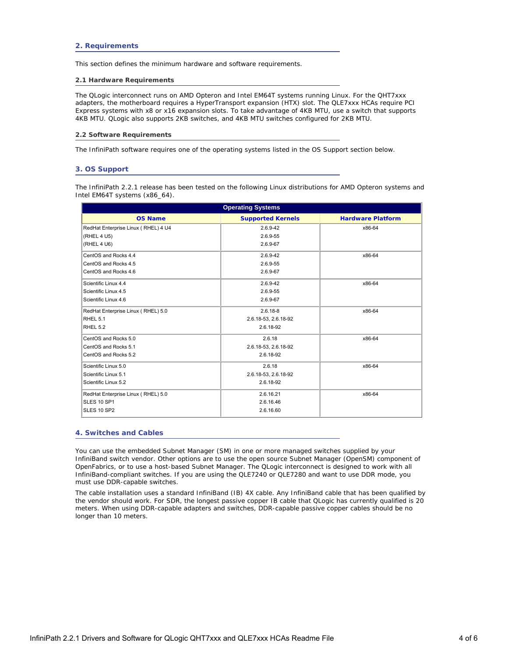<span id="page-3-0"></span>This section defines the minimum hardware and software requirements.

#### <span id="page-3-1"></span>**2.1 Hardware Requirements**

The QLogic interconnect runs on AMD Opteron and Intel EM64T systems running Linux. For the QHT7xxx adapters, the motherboard requires a HyperTransport expansion (HTX) slot. The QLE7xxx HCAs require PCI Express systems with x8 or x16 expansion slots. To take advantage of 4KB MTU, use a switch that supports 4KB MTU. QLogic also supports 2KB switches, and 4KB MTU switches configured for 2KB MTU.

#### <span id="page-3-2"></span>**2.2 Software Requirements**

The InfiniPath software requires one of the operating systems listed in the OS Support section below.

### <span id="page-3-3"></span>**3. OS Support**

The InfiniPath 2.2.1 release has been tested on the following Linux distributions for AMD Opteron systems and Intel EM64T systems (x86\_64).

| <b>Operating Systems</b>            |                          |                          |
|-------------------------------------|--------------------------|--------------------------|
| <b>OS Name</b>                      | <b>Supported Kernels</b> | <b>Hardware Platform</b> |
| RedHat Enterprise Linux (RHEL) 4 U4 | 2.6.9-42                 | x86-64                   |
| (RHEL 4 U5)                         | 2.6.9-55                 |                          |
| (RHEL 4 U6)                         | 2.6.9-67                 |                          |
| CentOS and Rocks 4.4                | 2.6.9-42                 | x86-64                   |
| CentOS and Rocks 4.5                | 2.6.9-55                 |                          |
| CentOS and Rocks 4.6                | 2.6.9-67                 |                          |
| Scientific Linux 4.4                | 2.6.9-42                 | x86-64                   |
| Scientific Linux 4.5                | 2.6.9-55                 |                          |
| Scientific Linux 4.6                | 2.6.9-67                 |                          |
| RedHat Enterprise Linux (RHEL) 5.0  | $2.6.18 - 8$             | x86-64                   |
| RHEL 5.1                            | 2.6.18-53, 2.6.18-92     |                          |
| <b>RHEL 5.2</b>                     | 2.6.18-92                |                          |
| CentOS and Rocks 5.0                | 2.6.18                   | x86-64                   |
| CentOS and Rocks 5.1                | 2.6.18-53, 2.6.18-92     |                          |
| CentOS and Rocks 5.2                | 2.6.18-92                |                          |
| Scientific Linux 5.0                | 2.6.18                   | x86-64                   |
| Scientific Linux 5.1                | 2.6.18-53, 2.6.18-92     |                          |
| Scientific Linux 5.2                | 2.6.18-92                |                          |
| RedHat Enterprise Linux (RHEL) 5.0  | 2.6.16.21                | x86-64                   |
| <b>SLES 10 SP1</b>                  | 2.6.16.46                |                          |
| SLES 10 SP2                         | 2.6.16.60                |                          |

## <span id="page-3-4"></span>**4. Switches and Cables**

You can use the embedded Subnet Manager (SM) in one or more managed switches supplied by your InfiniBand switch vendor. Other options are to use the open source Subnet Manager (OpenSM) component of OpenFabrics, or to use a host-based Subnet Manager. The QLogic interconnect is designed to work with all InfiniBand-compliant switches. If you are using the QLE7240 or QLE7280 and want to use DDR mode, you must use DDR-capable switches.

The cable installation uses a standard InfiniBand (IB) 4X cable. Any InfiniBand cable that has been qualified by the vendor should work. For SDR, the longest passive copper IB cable that QLogic has currently qualified is 20 meters. When using DDR-capable adapters and switches, DDR-capable passive copper cables should be no longer than 10 meters.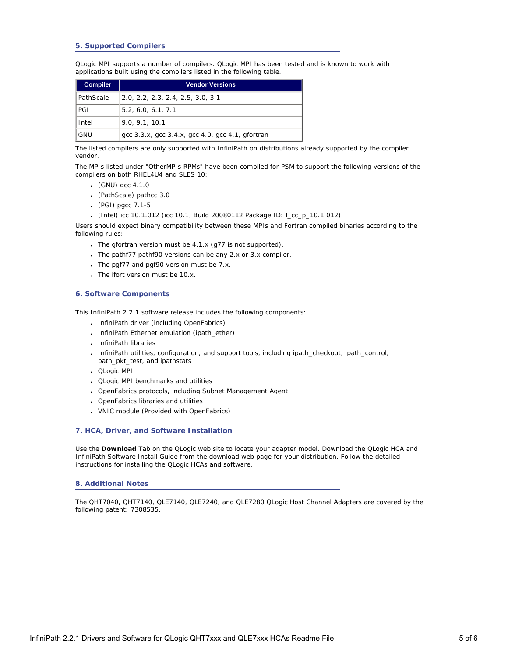# **5. Supported Compilers**

<span id="page-4-0"></span>QLogic MPI supports a number of compilers. QLogic MPI has been tested and is known to work with applications built using the compilers listed in the following table.

| <b>Compiler</b> | <b>Vendor Versions</b>                                                           |
|-----------------|----------------------------------------------------------------------------------|
| PathScale       | 2.0, 2.2, 2.3, 2.4, 2.5, 3.0, 3.1                                                |
| PGI             | 5.2, 6.0, 6.1, 7.1                                                               |
| Intel           | 9.0, 9.1, 10.1                                                                   |
| GNU             | $\rm qcc$ 3.3.x, $\rm qcc$ 3.4.x, $\rm qcc$ 4.0, $\rm qcc$ 4.1, $\rm q$ for tran |

The listed compilers are only supported with InfiniPath on distributions already supported by the compiler vendor.

The MPIs listed under "OtherMPIs RPMs" have been compiled for PSM to support the following versions of the compilers on both RHEL4U4 and SLES 10:

- $(GNU)$  gcc 4.1.0
- (PathScale) pathcc 3.0
- (PGI) pgcc 7.1-5
- (Intel) icc 10.1.012 (icc 10.1, Build 20080112 Package ID: l\_cc\_p\_10.1.012)

Users should expect binary compatibility between these MPIs and Fortran compiled binaries according to the following rules:

- The gfortran version must be  $4.1.x$  (g77 is not supported).
- The pathf77 pathf90 versions can be any 2.x or 3.x compiler.
- $\cdot$  The pgf77 and pgf90 version must be 7.x.
- The ifort version must be 10.x.

# <span id="page-4-1"></span>**6. Software Components**

This InfiniPath 2.2.1 software release includes the following components:

- InfiniPath driver (including OpenFabrics)
- InfiniPath Ethernet emulation (ipath\_ether)
- InfiniPath libraries
- InfiniPath utilities, configuration, and support tools, including ipath\_checkout, ipath\_control, path\_pkt\_test, and ipathstats
- QLogic MPI
- QLogic MPI benchmarks and utilities
- OpenFabrics protocols, including Subnet Management Agent
- OpenFabrics libraries and utilities
- VNIC module (Provided with OpenFabrics)

## <span id="page-4-2"></span>**7. HCA, Driver, and Software Installation**

Use the **Download** Tab on the QLogic web site to locate your adapter model. Download the *QLogic HCA and InfiniPath Software Install Guide* from the download web page for your distribution. Follow the detailed instructions for installing the QLogic HCAs and software.

#### <span id="page-4-3"></span>**8. Additional Notes**

The QHT7040, QHT7140, QLE7140, QLE7240, and QLE7280 QLogic Host Channel Adapters are covered by the following patent: 7308535.